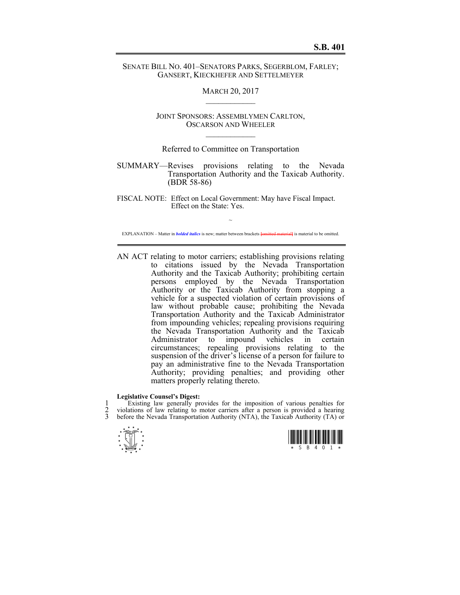## SENATE BILL NO. 401–SENATORS PARKS, SEGERBLOM, FARLEY; GANSERT, KIECKHEFER AND SETTELMEYER

## MARCH 20, 2017  $\mathcal{L}_\text{max}$

JOINT SPONSORS: ASSEMBLYMEN CARLTON, OSCARSON AND WHEELER  $\mathcal{L}_\text{max}$ 

## Referred to Committee on Transportation

SUMMARY—Revises provisions relating to the Nevada Transportation Authority and the Taxicab Authority. (BDR 58-86)

FISCAL NOTE: Effect on Local Government: May have Fiscal Impact. Effect on the State: Yes.

~ EXPLANATION – Matter in *bolded italics* is new; matter between brackets **[**omitted material**]** is material to be omitted.

AN ACT relating to motor carriers; establishing provisions relating to citations issued by the Nevada Transportation Authority and the Taxicab Authority; prohibiting certain persons employed by the Nevada Transportation Authority or the Taxicab Authority from stopping a vehicle for a suspected violation of certain provisions of law without probable cause; prohibiting the Nevada Transportation Authority and the Taxicab Administrator from impounding vehicles; repealing provisions requiring the Nevada Transportation Authority and the Taxicab Administrator to impound vehicles in certain circumstances; repealing provisions relating to the suspension of the driver's license of a person for failure to pay an administrative fine to the Nevada Transportation Authority; providing penalties; and providing other matters properly relating thereto.

### **Legislative Counsel's Digest:**

1 Existing law generally provides for the imposition of various penalties for 2 violations of law relating to motor carriers after a person is provided a hearing<br>3 before the Nevada Transportation Authority (NTA) the Taxicab Authority (TA) or before the Nevada Transportation Authority (NTA), the Taxicab Authority (TA) or



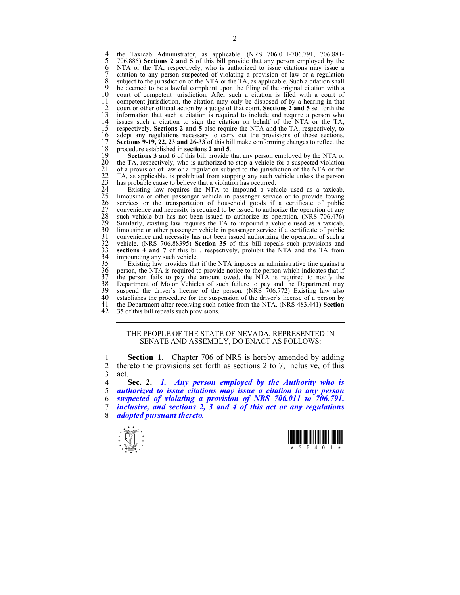4 the Taxicab Administrator, as applicable. (NRS 706.011-706.791, 706.881-<br>5 706.885) **Sections 2 and 5** of this bill provide that any person employed by the 5 706.885) **Sections 2 and 5** of this bill provide that any person employed by the 6 NTA or the TA, respectively, who is authorized to issue citations may issue a<br>7 citation to any person suspected of violating a provision of law or a regulation 7 citation to any person suspected of violating a provision of law or a regulation 8 subject to the jurisdiction of the NTA or the  $TA$ , as applicable. Such a citation shall 9 be deemed to be a lawful complaint upon the filing of the original citation with a 9 be deemed to be a lawful complaint upon the filing of the original citation with a 10 court of competent jurisdiction. After such a citation is filed with a court of 11 competent jurisdiction, the citation may only be disposed of by a hearing in that 11 competent jurisdiction, the citation may only be disposed of by a hearing in that  $12$  court or other official action by a judge of that court. **Sections 2 and 5** set forth the 12 court or other official action by a judge of that court. **Sections 2 and 5** set forth the 13 information that such a citation is required to include and require a person who 14 issues such a citation to sign the citation on behalf of the NTA or the TA, respectively. Sections 2 and 5 also require the NTA and the TA, respectively, to 15 respectively. **Sections 2 and 5** also require the NTA and the TA, respectively, to 16 adopt any regulations necessary to carry out the provisions of those sections.<br>17 **Sections 9-19, 22, 23 and 26-33** of this bill make conforming changes to reflect the 17 **Sections 9-19, 22, 23 and 26-33** of this bill make conforming changes to reflect the 18 procedure established in **sections 2 and 5**.

20 the TA, respectively, who is authorized to stop a vehicle for a suspected violation 21 of a provision of law or a regulation subject to the jurisdiction of the NTA or the 22 TA, as applicable, is prohibited from stopping any such vehicle unless the person has probable cause to believe that a violation has occurred.

19 **Sections 3 and 6** of this bill provide that any person employed by the NTA or<br>
20 the TA, respectively, who is authorized to stop a vehicle for a suspected violation<br>
21 of a provision of law or a regulation subject to Existing law requires the NTA to impound a vehicle used as a taxicab, limousine or other passenger vehicle in passenger service or to provide towing services or the transportation of household goods if a certificate of public 27 convenience and necessity is required to be issued to authorize the operation of any such vehicle but has not been issued to authorize its operation. (NRS 706.476) Similarly, existing law requires the TA to impound a vehicle used as a taxicab, limousine or other passenger vehicle in passenger service if a certificate of public 31 convenience and necessity has not been issued authorizing the operation of such a 32 vehicle. (NRS 706.88395) **Section 35** of this bill repeals such provisions and 33 **sections 4 and 7** of this bill, respectively, prohibit the NTA and the TA from

34 impounding any such vehicle.<br>35 Existing law provides that<br>36 person, the NTA is required to<br>37 the person fails to pay the Existing law provides that if the NTA imposes an administrative fine against a 36 person, the NTA is required to provide notice to the person which indicates that if 37 the person fails to pay the amount owed, the NTA is required to notify the 38 Department of Motor Vehicles of such failure to pay and the Department may 38 Department of Motor Vehicles of such failure to pay and the Department may<br>39 suspend the driver's license of the person. (NRS 706.772) Existing law also 39 suspend the driver's license of the person. (NRS  $\overline{7}06.772$ ) Existing law also 40 establishes the procedure for the suspension of the driver's license of a person by 40 establishes the procedure for the suspension of the driver's license of a person by the Department after receiving such notice from the NTA. (NRS 483.441) Section 41 the Department after receiving such notice from the NTA. (NRS 483.441) **Section**  35 of this bill repeals such provisions.

#### THE PEOPLE OF THE STATE OF NEVADA, REPRESENTED IN SENATE AND ASSEMBLY, DO ENACT AS FOLLOWS:

1 **Section 1.** Chapter 706 of NRS is hereby amended by adding 2 thereto the provisions set forth as sections 2 to 7, inclusive, of this 3 act.

4 **Sec. 2.** *1. Any person employed by the Authority who is*  5 *authorized to issue citations may issue a citation to any person* 

6 *suspected of violating a provision of NRS 706.011 to 706.791,*  7 *inclusive, and sections 2, 3 and 4 of this act or any regulations* 

8 *adopted pursuant thereto.* 



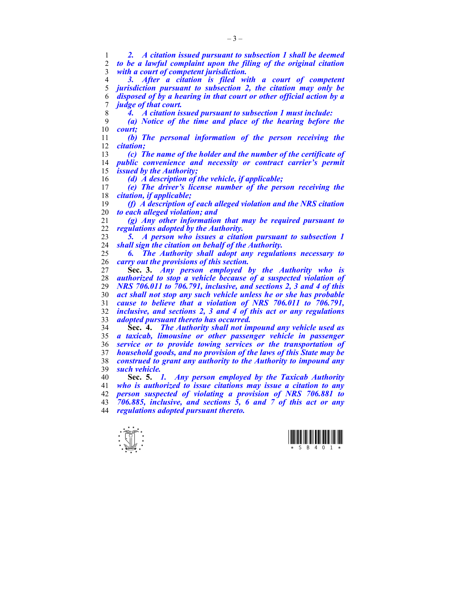*2. A citation issued pursuant to subsection 1 shall be deemed to be a lawful complaint upon the filing of the original citation with a court of competent jurisdiction. 3. After a citation is filed with a court of competent jurisdiction pursuant to subsection 2, the citation may only be disposed of by a hearing in that court or other official action by a judge of that court. 4. A citation issued pursuant to subsection 1 must include: (a) Notice of the time and place of the hearing before the court; (b) The personal information of the person receiving the citation; (c) The name of the holder and the number of the certificate of public convenience and necessity or contract carrier's permit issued by the Authority; (d) A description of the vehicle, if applicable; (e) The driver's license number of the person receiving the citation, if applicable; (f) A description of each alleged violation and the NRS citation to each alleged violation; and (g) Any other information that may be required pursuant to regulations adopted by the Authority. 5. A person who issues a citation pursuant to subsection 1 shall sign the citation on behalf of the Authority. 6. The Authority shall adopt any regulations necessary to carry out the provisions of this section.*  **Sec. 3.** *Any person employed by the Authority who is authorized to stop a vehicle because of a suspected violation of NRS 706.011 to 706.791, inclusive, and sections 2, 3 and 4 of this act shall not stop any such vehicle unless he or she has probable cause to believe that a violation of NRS 706.011 to 706.791, inclusive, and sections 2, 3 and 4 of this act or any regulations adopted pursuant thereto has occurred.* **Sec. 4.** *The Authority shall not impound any vehicle used as a taxicab, limousine or other passenger vehicle in passenger service or to provide towing services or the transportation of household goods, and no provision of the laws of this State may be construed to grant any authority to the Authority to impound any such vehicle.* **Sec. 5.** *1. Any person employed by the Taxicab Authority who is authorized to issue citations may issue a citation to any person suspected of violating a provision of NRS 706.881 to 706.885, inclusive, and sections 5, 6 and 7 of this act or any* 

*regulations adopted pursuant thereto.* 



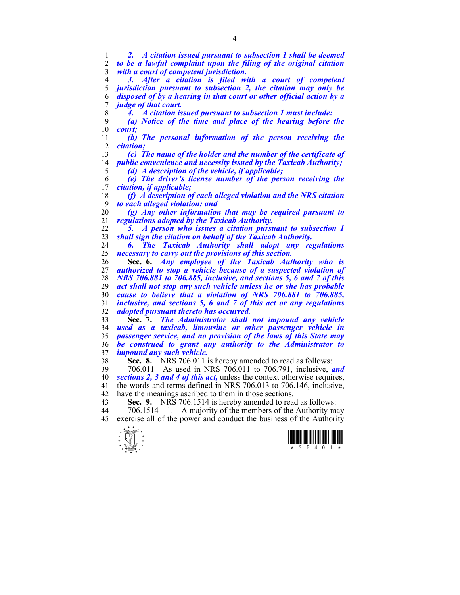*2. A citation issued pursuant to subsection 1 shall be deemed to be a lawful complaint upon the filing of the original citation with a court of competent jurisdiction.* 

*3. After a citation is filed with a court of competent*  jurisdiction pursuant to subsection 2, the citation may only be *disposed of by a hearing in that court or other official action by a judge of that court.* 

*4. A citation issued pursuant to subsection 1 must include:* 

*(a) Notice of the time and place of the hearing before the court;* 

*(b) The personal information of the person receiving the citation;* 

*(c) The name of the holder and the number of the certificate of public convenience and necessity issued by the Taxicab Authority;* 

*(d) A description of the vehicle, if applicable;* 

*(e) The driver's license number of the person receiving the citation, if applicable;* 

*(f) A description of each alleged violation and the NRS citation to each alleged violation; and* 

*(g) Any other information that may be required pursuant to regulations adopted by the Taxicab Authority.* 

*5. A person who issues a citation pursuant to subsection 1 shall sign the citation on behalf of the Taxicab Authority.* 

*6. The Taxicab Authority shall adopt any regulations necessary to carry out the provisions of this section.* 

**Sec. 6.** *Any employee of the Taxicab Authority who is authorized to stop a vehicle because of a suspected violation of NRS 706.881 to 706.885, inclusive, and sections 5, 6 and 7 of this act shall not stop any such vehicle unless he or she has probable cause to believe that a violation of NRS 706.881 to 706.885, inclusive, and sections 5, 6 and 7 of this act or any regulations adopted pursuant thereto has occurred.* 

**Sec. 7.** *The Administrator shall not impound any vehicle used as a taxicab, limousine or other passenger vehicle in passenger service, and no provision of the laws of this State may be construed to grant any authority to the Administrator to impound any such vehicle.*

**Sec. 8.** NRS 706.011 is hereby amended to read as follows:

39 706.011 As used in NRS 706.011 to 706.791, inclusive, *and sections 2, 3 and 4 of this act,* unless the context otherwise requires, 41 the words and terms defined in NRS 706.013 to 706.146, inclusive, 42 have the meanings ascribed to them in those sections.

**Sec. 9.** NRS 706.1514 is hereby amended to read as follows:

44 706.1514 1. A majority of the members of the Authority may 45 exercise all of the power and conduct the business of the Authority



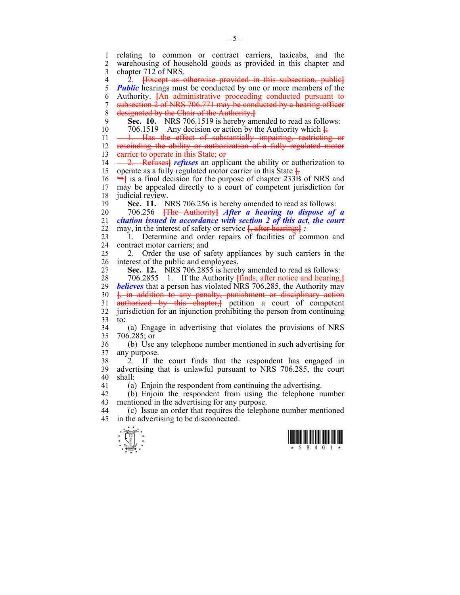$\frac{1}{x}$   $\frac{1}{s}$   $\frac{1}{s}$   $\frac{1}{s}$   $\frac{1}{s}$   $\frac{1}{s}$   $\frac{1}{s}$   $\frac{1}{s}$   $\frac{1}{s}$   $\frac{1}{s}$   $\frac{1}{s}$ 1 relating to common or contract carriers, taxicabs, and the 2 warehousing of household goods as provided in this chapter and 3 chapter 712 of NRS. 4 2. **[**Except as otherwise provided in this subsection, public**]** 5 *Public* hearings must be conducted by one or more members of the 6 Authority. **[**An administrative proceeding conducted pursuant to 7 subsection 2 of NRS 706.771 may be conducted by a hearing officer 8 designated by the Chair of the Authority.**]** 9 **Sec. 10.** NRS 706.1519 is hereby amended to read as follows: 10 706.1519 Any decision or action by the Authority which **[**: 11 - 1. Has the effect of substantially impairing, restricting or 12 rescinding the ability or authorization of a fully regulated motor 13 earrier to operate in this State; or 14 — 2. Refuses<sup>1</sup> *refuses* an applicant the ability or authorization to 15 operate as a fully regulated motor carrier in this State **[**, 16 ¬**]** is a final decision for the purpose of chapter 233B of NRS and 17 may be appealed directly to a court of competent jurisdiction for 18 judicial review. 19 **Sec. 11.** NRS 706.256 is hereby amended to read as follows: 20 706.256 **[**The Authority**]** *After a hearing to dispose of a*  21 *citation issued in accordance with section 2 of this act, the court*  22 may, in the interest of safety or service **[**, after hearing:**]** *:* 23 1. Determine and order repairs of facilities of common and 24 contract motor carriers; and 25 2. Order the use of safety appliances by such carriers in the 26 interest of the public and employees. 27 **Sec. 12.** NRS 706.2855 is hereby amended to read as follows: 28 706.2855 1. If the Authority **[**finds, after notice and hearing,**]** 29 *believes* that a person has violated NRS 706.285, the Authority may 30 **[**, in addition to any penalty, punishment or disciplinary action 31 authorized by this chapter,**]** petition a court of competent 32 jurisdiction for an injunction prohibiting the person from continuing  $33$  to: 34 (a) Engage in advertising that violates the provisions of NRS 35 706.285; or 36 (b) Use any telephone number mentioned in such advertising for 37 any purpose. 38 2. If the court finds that the respondent has engaged in 39 advertising that is unlawful pursuant to NRS 706.285, the court  $40$  shall: 41 (a) Enjoin the respondent from continuing the advertising. 42 (b) Enjoin the respondent from using the telephone number 43 mentioned in the advertising for any purpose. 44 (c) Issue an order that requires the telephone number mentioned 45 in the advertising to be disconnected.



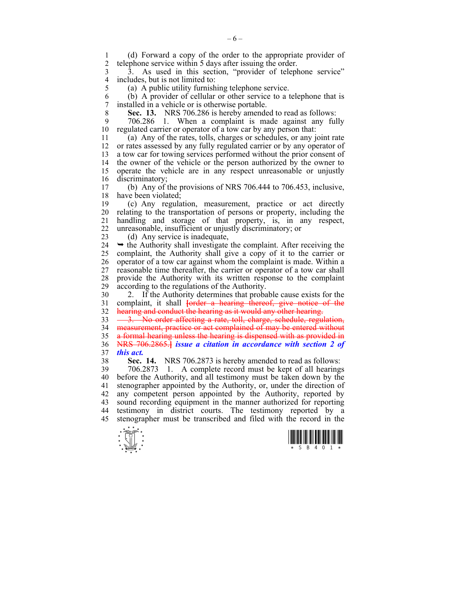1 (d) Forward a copy of the order to the appropriate provider of telephone service within 5 days after issuing the order.

3 3. As used in this section, "provider of telephone service" 4 includes, but is not limited to:<br>5 (a) A public utility furnish

(a) A public utility furnishing telephone service.

6 (b) A provider of cellular or other service to a telephone that is 7 installed in a vehicle or is otherwise portable.

8 **Sec. 13.** NRS 706.286 is hereby amended to read as follows:

9 706.286 1. When a complaint is made against any fully 10 regulated carrier or operator of a tow car by any person that:

11 (a) Any of the rates, tolls, charges or schedules, or any joint rate 12 or rates assessed by any fully regulated carrier or by any operator of 13 a tow car for towing services performed without the prior consent of 14 the owner of the vehicle or the person authorized by the owner to 15 operate the vehicle are in any respect unreasonable or unjustly 16 discriminatory;

17 (b) Any of the provisions of NRS 706.444 to 706.453, inclusive, 18 have been violated;

19 (c) Any regulation, measurement, practice or act directly 20 relating to the transportation of persons or property, including the 21 handling and storage of that property, is, in any respect, 22 unreasonable, insufficient or unjustly discriminatory; or

23 (d) Any service is inadequate,

 $24 \rightarrow$  the Authority shall investigate the complaint. After receiving the 25 complaint, the Authority shall give a copy of it to the carrier or 26 operator of a tow car against whom the complaint is made. Within a 27 reasonable time thereafter, the carrier or operator of a tow car shall 28 provide the Authority with its written response to the complaint 29 according to the regulations of the Authority.

30 2. If the Authority determines that probable cause exists for the 31 complaint, it shall **[**order a hearing thereof, give notice of the 32 hearing and conduct the hearing as it would any other hearing.

33 <del>3. No order affecting a rate, toll, charge, schedule, regulation,</del> 34 measurement, practice or act complained of may be entered without 35 a formal hearing unless the hearing is dispensed with as provided in 36 NRS 706.2865.**]** *issue a citation in accordance with section 2 of*  37 *this act.* 

38 **Sec. 14.** NRS 706.2873 is hereby amended to read as follows:

39 706.2873 1. A complete record must be kept of all hearings 40 before the Authority, and all testimony must be taken down by the 41 stenographer appointed by the Authority, or, under the direction of 42 any competent person appointed by the Authority, reported by 43 sound recording equipment in the manner authorized for reporting 44 testimony in district courts. The testimony reported by a 45 stenographer must be transcribed and filed with the record in the



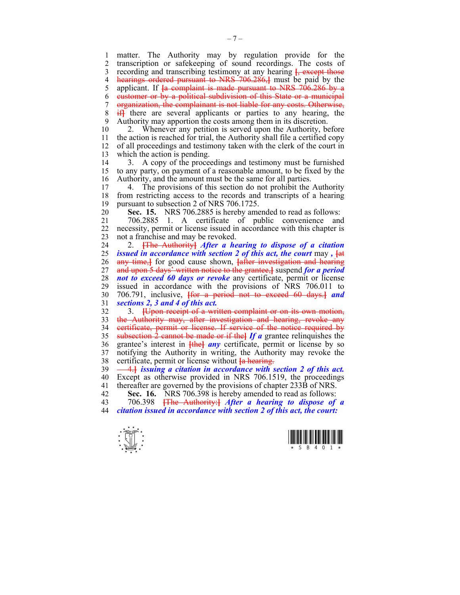1 matter. The Authority may by regulation provide for the 2 transcription or safekeeping of sound recordings. The costs of 3 recording and transcribing testimony at any hearing **[**, except those 4 **hearings ordered pursuant to NRS 706.286,** must be paid by the samplicant. If the complaint is made pursuant to NRS 706.286 by a 5 applicant. If **[**a complaint is made pursuant to NRS 706.286 by a 6 customer or by a political subdivision of this State or a municipal 7 organization, the complainant is not liable for any costs. Otherwise, 8 if**]** there are several applicants or parties to any hearing, the 9 Authority may apportion the costs among them in its discretion.

10 2. Whenever any petition is served upon the Authority, before 11 the action is reached for trial, the Authority shall file a certified copy 12 of all proceedings and testimony taken with the clerk of the court in 13 which the action is pending.

14 3. A copy of the proceedings and testimony must be furnished 15 to any party, on payment of a reasonable amount, to be fixed by the 16 Authority, and the amount must be the same for all parties.

17 4. The provisions of this section do not prohibit the Authority 18 from restricting access to the records and transcripts of a hearing 19 pursuant to subsection 2 of NRS 706.1725.

20 **Sec. 15.** NRS 706.2885 is hereby amended to read as follows:

21 706.2885 1. A certificate of public convenience and 22 necessity, permit or license issued in accordance with this chapter is 23 not a franchise and may be revoked.

24 2. **[**The Authority**]** *After a hearing to dispose of a citation*  25 *issued in accordance with section 2 of this act, the court* may *,* **[**at 26 any time,**]** for good cause shown, **[**after investigation and hearing 27 and upon 5 days' written notice to the grantee,**]** suspend *for a period*  28 *not to exceed 60 days or revoke* any certificate, permit or license 29 issued in accordance with the provisions of NRS 706.011 to 30 706.791, inclusive, **[**for a period not to exceed 60 days.**]** *and*  31 *sections 2, 3 and 4 of this act.*

32 3. **[**Upon receipt of a written complaint or on its own motion, 33 the Authority may, after investigation and hearing, revoke any 34 certificate, permit or license. If service of the notice required by 35 subsection 2 cannot be made or if the**]** *If a* grantee relinquishes the 36 grantee's interest in **[**the**]** *any* certificate, permit or license by so 37 notifying the Authority in writing, the Authority may revoke the 38 certificate, permit or license without **[**a hearing.

39 4.**]** *issuing a citation in accordance with section 2 of this act.*  40 Except as otherwise provided in NRS 706.1519, the proceedings 41 thereafter are governed by the provisions of chapter 233B of NRS.

- 42 **Sec. 16.** NRS 706.398 is hereby amended to read as follows:<br>43 706.398 <del>The Authority: *After a hearing to dispose of*</del>
- 43 706.398 **[**The Authority:**]** *After a hearing to dispose of a*  44 *citation issued in accordance with section 2 of this act, the court:*



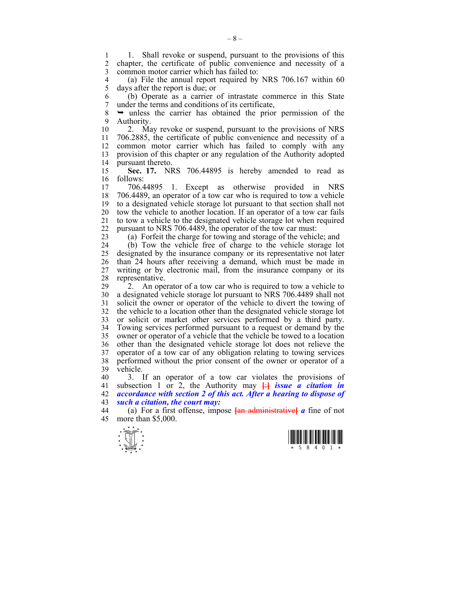1 1. Shall revoke or suspend, pursuant to the provisions of this<br>2. chapter the certificate of public convenience and necessity of a 2 chapter, the certificate of public convenience and necessity of a 3 common motor carrier which has failed to:

4 (a) File the annual report required by NRS 706.167 within 60<br>5 days after the report is due: or 5 days after the report is due; or

6 (b) Operate as a carrier of intrastate commerce in this State 7 under the terms and conditions of its certificate,

8 ¬ unless the carrier has obtained the prior permission of the 9 Authority.

10 2. May revoke or suspend, pursuant to the provisions of NRS 11 706.2885, the certificate of public convenience and necessity of a 12 common motor carrier which has failed to comply with any 13 provision of this chapter or any regulation of the Authority adopted 14 pursuant thereto.

15 **Sec. 17.** NRS 706.44895 is hereby amended to read as 16 follows:

17 706.44895 1. Except as otherwise provided in NRS 18 706.4489, an operator of a tow car who is required to tow a vehicle 19 to a designated vehicle storage lot pursuant to that section shall not 20 tow the vehicle to another location. If an operator of a tow car fails 21 to tow a vehicle to the designated vehicle storage lot when required 22 pursuant to NRS 706.4489, the operator of the tow car must:

23 (a) Forfeit the charge for towing and storage of the vehicle; and

24 (b) Tow the vehicle free of charge to the vehicle storage lot 25 designated by the insurance company or its representative not later 26 than 24 hours after receiving a demand, which must be made in 27 writing or by electronic mail, from the insurance company or its 28 representative.

29 2. An operator of a tow car who is required to tow a vehicle to 30 a designated vehicle storage lot pursuant to NRS 706.4489 shall not 31 solicit the owner or operator of the vehicle to divert the towing of 32 the vehicle to a location other than the designated vehicle storage lot 33 or solicit or market other services performed by a third party. 34 Towing services performed pursuant to a request or demand by the 35 owner or operator of a vehicle that the vehicle be towed to a location 36 other than the designated vehicle storage lot does not relieve the 37 operator of a tow car of any obligation relating to towing services 38 performed without the prior consent of the owner or operator of a 39 vehicle.

40 3. If an operator of a tow car violates the provisions of 41 subsection 1 or 2, the Authority may **[**:**]** *issue a citation in*  42 *accordance with section 2 of this act. After a hearing to dispose of*  43 *such a citation, the court may:* 

44 (a) For a first offense, impose **[**an administrative**]** *a* fine of not 45 more than \$5,000.



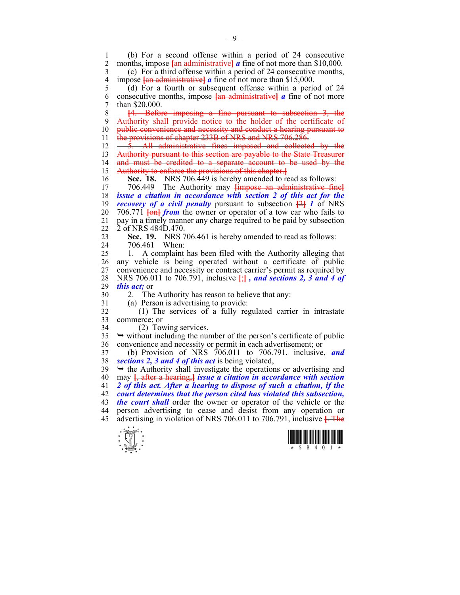$\frac{1}{x}$   $\frac{1}{s}$   $\frac{1}{s}$   $\frac{1}{s}$   $\frac{1}{s}$   $\frac{1}{s}$   $\frac{1}{s}$   $\frac{1}{s}$   $\frac{1}{s}$   $\frac{1}{s}$   $\frac{1}{s}$ 1 (b) For a second offense within a period of 24 consecutive 2 months impose  $\frac{1}{4}$  a fine of not more than \$10,000 months, impose *fan administrative a* fine of not more than \$10,000. 3 (c) For a third offense within a period of 24 consecutive months, 4 impose **{an administrative}** *a* fine of not more than \$15,000.<br>5 (d) For a fourth or subsequent offense within a period 5 (d) For a fourth or subsequent offense within a period of 24 6 consecutive months, impose  $\frac{1}{2}$  and  $\frac{1}{2}$  and  $\frac{1}{2}$  are of not more 7 than \$20,000. 8 **[**4. Before imposing a fine pursuant to subsection 3, the 9 Authority shall provide notice to the holder of the certificate of 10 **public convenience and necessity and conduct a hearing pursuant to** 11 the provisions of chapter 233B of NRS and NRS 706.286. 12 - 5. All administrative fines imposed and collected by the 13 Authority pursuant to this section are payable to the State Treasurer<br>14 and must be credited to a separate account to be used by the and must be credited to a separate account to be used by the 15 Authority to enforce the provisions of this chapter.**]** 16 **Sec. 18.** NRS 706.449 is hereby amended to read as follows: 17 706.449 The Authority may **[**impose an administrative fine**]** 18 *issue a citation in accordance with section 2 of this act for the*  19 *recovery of a civil penalty* pursuant to subsection **[**2**]** *1* of NRS 20 706.771 **[**on**]** *from* the owner or operator of a tow car who fails to 21 pay in a timely manner any charge required to be paid by subsection 22 2 of NRS 484D.470. 23 **Sec. 19.** NRS 706.461 is hereby amended to read as follows: 24 706.461 When: 25 1. A complaint has been filed with the Authority alleging that 26 any vehicle is being operated without a certificate of public 27 convenience and necessity or contract carrier's permit as required by 28 NRS 706.011 to 706.791, inclusive **[**;**]** *, and sections 2, 3 and 4 of*  29 *this act;* or 30 2. The Authority has reason to believe that any: 31 (a) Person is advertising to provide: 32 (1) The services of a fully regulated carrier in intrastate 33 commerce; or 34 (2) Towing services,  $35 \rightarrow$  without including the number of the person's certificate of public 36 convenience and necessity or permit in each advertisement; or 37 (b) Provision of NRS 706.011 to 706.791, inclusive, *and*  38 *sections 2, 3 and 4 of this act* is being violated,  $39 \rightarrow$  the Authority shall investigate the operations or advertising and 40 may **[**, after a hearing,**]** *issue a citation in accordance with section*  41 *2 of this act. After a hearing to dispose of such a citation, if the*  42 *court determines that the person cited has violated this subsection,*  43 *the court shall* order the owner or operator of the vehicle or the 44 person advertising to cease and desist from any operation or 45 advertising in violation of NRS 706.011 to 706.791, inclusive **[**. The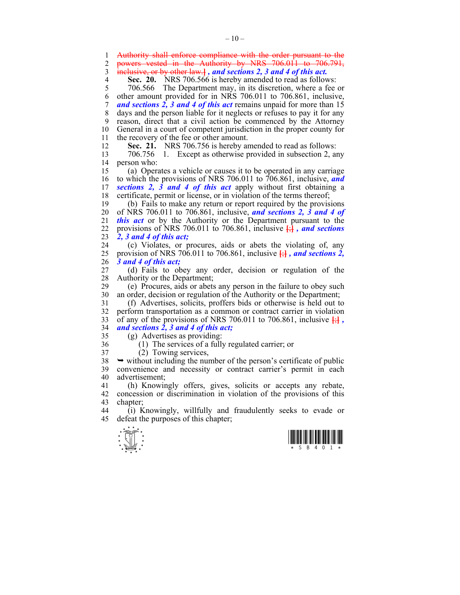1 Authority shall enforce compliance with the order pursuant to the 2 powers vested in the Authority by NRS 706.011 to 706.791,

3 inclusive, or by other law.**]** *, and sections 2, 3 and 4 of this act.* 

**Sec. 20.** NRS 706.566 is hereby amended to read as follows:<br>5 706.566 The Department may, in its discretion, where a fee

5 706.566 The Department may, in its discretion, where a fee or 6 other amount provided for in NRS 706.011 to 706.861, inclusive, 7 *and sections 2, 3 and 4 of this act* remains unpaid for more than 15 8 days and the person liable for it neglects or refuses to pay it for any 9 reason, direct that a civil action be commenced by the Attorney 10 General in a court of competent jurisdiction in the proper county for 11 the recovery of the fee or other amount.

12 **Sec. 21.** NRS 706.756 is hereby amended to read as follows: 13 706.756 1. Except as otherwise provided in subsection 2, any 14 person who:

15 (a) Operates a vehicle or causes it to be operated in any carriage 16 to which the provisions of NRS 706.011 to 706.861, inclusive, *and*  17 *sections 2, 3 and 4 of this act* apply without first obtaining a 18 certificate, permit or license, or in violation of the terms thereof;

19 (b) Fails to make any return or report required by the provisions 20 of NRS 706.011 to 706.861, inclusive, *and sections 2, 3 and 4 of*  21 *this act* or by the Authority or the Department pursuant to the 22 provisions of NRS 706.011 to 706.861, inclusive  $\frac{1}{2}$ *, and sections* 23 *2, 3 and 4 of this act;*

24 (c) Violates, or procures, aids or abets the violating of, any 25 provision of NRS 706.011 to 706.861, inclusive **[**;**]** *, and sections 2,*  26 *3 and 4 of this act;*

27 (d) Fails to obey any order, decision or regulation of the 28 Authority or the Department;<br>29 (e) Procures, aids or abets

29 (e) Procures, aids or abets any person in the failure to obey such 30 an order, decision or regulation of the Authority or the Department;

31 (f) Advertises, solicits, proffers bids or otherwise is held out to 32 perform transportation as a common or contract carrier in violation 33 of any of the provisions of NRS 706.011 to 706.861, inclusive  $\frac{1}{2}$ 34 *and sections 2, 3 and 4 of this act;*

- 
- 35 (g) Advertises as providing:
- 
- 36 (1) The services of a fully regulated carrier; or
- 37 (2) Towing services,

 $38 \rightarrow$  without including the number of the person's certificate of public 39 convenience and necessity or contract carrier's permit in each 40 advertisement;

41 (h) Knowingly offers, gives, solicits or accepts any rebate, 42 concession or discrimination in violation of the provisions of this 43 chapter:

44 (i) Knowingly, willfully and fraudulently seeks to evade or 45 defeat the purposes of this chapter;



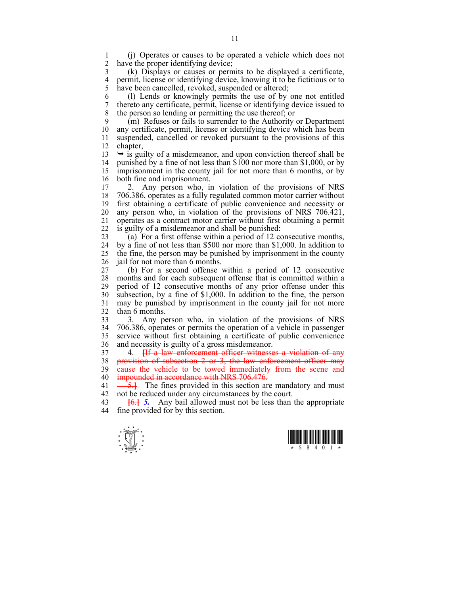1 (j) Operates or causes to be operated a vehicle which does not have the proper identifying device;

3 (k) Displays or causes or permits to be displayed a certificate, 4 permit, license or identifying device, knowing it to be fictitious or to 5 have been cancelled, revoked, suspended or altered: have been cancelled, revoked, suspended or altered;

6 (l) Lends or knowingly permits the use of by one not entitled 7 thereto any certificate, permit, license or identifying device issued to 8 the person so lending or permitting the use thereof; or

9 (m) Refuses or fails to surrender to the Authority or Department 10 any certificate, permit, license or identifying device which has been 11 suspended, cancelled or revoked pursuant to the provisions of this 12 chapter,

 $13 \rightarrow$  is guilty of a misdemeanor, and upon conviction thereof shall be 14 punished by a fine of not less than \$100 nor more than \$1,000, or by 15 imprisonment in the county jail for not more than 6 months, or by 16 both fine and imprisonment.

17 2. Any person who, in violation of the provisions of NRS 18 706.386, operates as a fully regulated common motor carrier without 19 first obtaining a certificate of public convenience and necessity or 20 any person who, in violation of the provisions of NRS 706.421, 21 operates as a contract motor carrier without first obtaining a permit 22 is guilty of a misdemeanor and shall be punished:

23 (a) For a first offense within a period of 12 consecutive months, 24 by a fine of not less than \$500 nor more than \$1,000. In addition to 25 the fine, the person may be punished by imprisonment in the county 26 iail for not more than 6 months.

27 (b) For a second offense within a period of 12 consecutive 28 months and for each subsequent offense that is committed within a 29 period of 12 consecutive months of any prior offense under this 30 subsection, by a fine of \$1,000. In addition to the fine, the person 31 may be punished by imprisonment in the county jail for not more 32 than 6 months.

33 3. Any person who, in violation of the provisions of NRS 34 706.386, operates or permits the operation of a vehicle in passenger 35 service without first obtaining a certificate of public convenience 36 and necessity is guilty of a gross misdemeanor.

37 4. **[**If a law enforcement officer witnesses a violation of any 38 provision of subsection 2 or 3, the law enforcement officer may 39 eause the vehicle to be towed immediately from the scene and 40 **impounded in accordance with NRS 706.476.** 

41  $\frac{5.1}{2}$  The fines provided in this section are mandatory and must 42 not be reduced under any circumstances by the court.

43 **[**6.**]** *5.* Any bail allowed must not be less than the appropriate 44 fine provided for by this section.



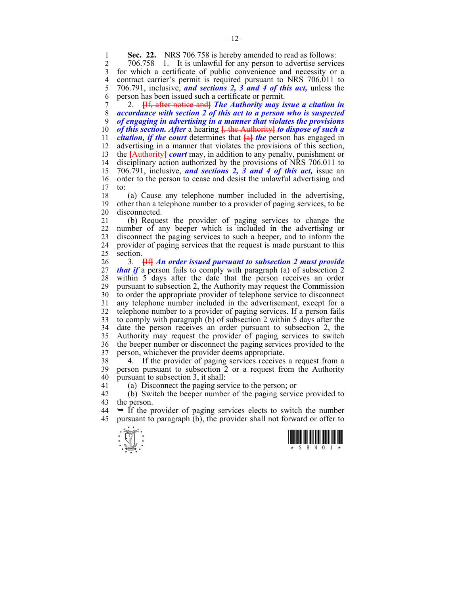**Sec. 22.** NRS 706.758 is hereby amended to read as follows:<br>2 706.758 1 It is unlawful for any person to advertise servic

2 706.758 1. It is unlawful for any person to advertise services 3 for which a certificate of public convenience and necessity or a 4 contract carrier's permit is required pursuant to NRS 706.011 to  $5$  706.791, inclusive, and sections 2, 3 and 4 of this act, unless the 5 706.791, inclusive, *and sections 2, 3 and 4 of this act,* unless the 6 person has been issued such a certificate or permit.

7 2. **[**If, after notice and**]** *The Authority may issue a citation in*  8 *accordance with section 2 of this act to a person who is suspected*  9 *of engaging in advertising in a manner that violates the provisions*  10 *of this section. After* a hearing **[**, the Authority**]** *to dispose of such a*  11 *citation, if the court* determines that **[**a**]** *the* person has engaged in 12 advertising in a manner that violates the provisions of this section, 13 the **[**Authority**]** *court* may, in addition to any penalty, punishment or 14 disciplinary action authorized by the provisions of NRS 706.011 to 15 706.791, inclusive, *and sections 2, 3 and 4 of this act,* issue an 16 order to the person to cease and desist the unlawful advertising and 17 to:  $\alpha$ :

18 (a) Cause any telephone number included in the advertising, 19 other than a telephone number to a provider of paging services, to be 20 disconnected.

21 (b) Request the provider of paging services to change the 22 number of any beeper which is included in the advertising or 23 disconnect the paging services to such a beeper, and to inform the 24 provider of paging services that the request is made pursuant to this 25 section.

26 3. **[**If**]** *An order issued pursuant to subsection 2 must provide*  27 *that if* a person fails to comply with paragraph (a) of subsection 2 28 within 5 days after the date that the person receives an order 29 pursuant to subsection 2, the Authority may request the Commission 30 to order the appropriate provider of telephone service to disconnect 31 any telephone number included in the advertisement, except for a 32 telephone number to a provider of paging services. If a person fails 33 to comply with paragraph (b) of subsection 2 within 5 days after the 34 date the person receives an order pursuant to subsection 2, the 35 Authority may request the provider of paging services to switch 36 the beeper number or disconnect the paging services provided to the 37 person, whichever the provider deems appropriate.

38 4. If the provider of paging services receives a request from a 39 person pursuant to subsection 2 or a request from the Authority 40 pursuant to subsection 3, it shall:

41 (a) Disconnect the paging service to the person; or

42 (b) Switch the beeper number of the paging service provided to 43 the person.

 $44 \rightarrow$  If the provider of paging services elects to switch the number 45 pursuant to paragraph (b), the provider shall not forward or offer to



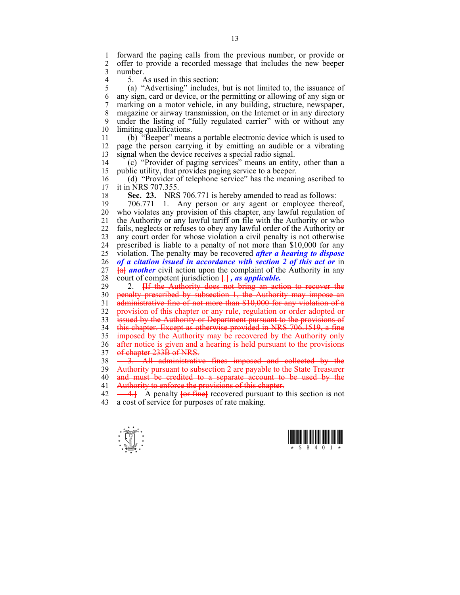1 forward the paging calls from the previous number, or provide or 2 offer to provide a recorded message that includes the new beeper 3 number.

4 5. As used in this section:<br>5 (a) "Advertising" includes.

5 (a) "Advertising" includes, but is not limited to, the issuance of 6 any sign, card or device, or the permitting or allowing of any sign or 7 marking on a motor vehicle, in any building, structure, newspaper, 8 magazine or airway transmission, on the Internet or in any directory 9 under the listing of "fully regulated carrier" with or without any 10 limiting qualifications.

11 (b) "Beeper" means a portable electronic device which is used to 12 page the person carrying it by emitting an audible or a vibrating 13 signal when the device receives a special radio signal.

14 (c) "Provider of paging services" means an entity, other than a 15 public utility, that provides paging service to a beeper.

16 (d) "Provider of telephone service" has the meaning ascribed to 17 it in NRS 707 355 it in NRS 707.355.

18 **Sec. 23.** NRS 706.771 is hereby amended to read as follows:

19 706.771 1. Any person or any agent or employee thereof, 20 who violates any provision of this chapter, any lawful regulation of 21 the Authority or any lawful tariff on file with the Authority or who 22 fails, neglects or refuses to obey any lawful order of the Authority or 23 any court order for whose violation a civil penalty is not otherwise 24 prescribed is liable to a penalty of not more than \$10,000 for any 25 violation. The penalty may be recovered *after a hearing to dispose*  26 *of a citation issued in accordance with section 2 of this act or* in 27 **[**a**]** *another* civil action upon the complaint of the Authority in any

28 court of competent jurisdiction **[**.**]** *, as applicable.* 2. **Hetal Histority does not bring an action to recover the** 30 penalty prescribed by subsection 1, the Authority may impose an 31 administrative fine of not more than \$10,000 for any violation of a 32 provision of this chapter or any rule, regulation or order adopted or 33 issued by the Authority or Department pursuant to the provisions of 34 this chapter. Except as otherwise provided in NRS 706.1519, a fine 35 imposed by the Authority may be recovered by the Authority only 36 after notice is given and a hearing is held pursuant to the provisions 37 of chapter 233B of NRS.  $38 \quad -3.$  All administrative fines imposed and collected by the 39 Authority pursuant to subsection 2 are payable to the State Treasurer 40 and must be credited to a separate account to be used by the 41 Authority to enforce the provisions of this chapter.

42  $\rightarrow$  **4.** A penalty for fine **[**decrearch pursuant to this section is not 43 a cost of service for purposes of rate making.



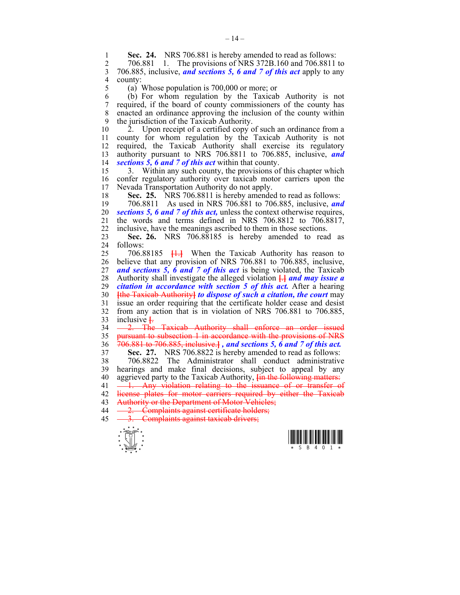**Sec. 24.** NRS 706.881 is hereby amended to read as follows:<br>2 706.881 1 The provisions of NRS 372B 160 and 706.8811

2 706.881 1. The provisions of NRS 372B.160 and 706.8811 to 3 706.885, inclusive, *and sections 5, 6 and 7 of this act* apply to any 4 county:<br> $\begin{array}{cc} 4 & \text{county:} \\ 5 & 4 \end{array}$ 

(a) Whose population is  $700,000$  or more; or

6 (b) For whom regulation by the Taxicab Authority is not 7 required, if the board of county commissioners of the county has 8 enacted an ordinance approving the inclusion of the county within 9 the jurisdiction of the Taxicab Authority.

10 2. Upon receipt of a certified copy of such an ordinance from a 11 county for whom regulation by the Taxicab Authority is not 12 required, the Taxicab Authority shall exercise its regulatory 13 authority pursuant to NRS 706.8811 to 706.885, inclusive, *and*  14 *sections 5, 6 and 7 of this act* within that county.

15 3. Within any such county, the provisions of this chapter which 16 confer regulatory authority over taxicab motor carriers upon the 17 Nevada Transportation Authority do not apply. Nevada Transportation Authority do not apply.

18 **Sec. 25.** NRS 706.8811 is hereby amended to read as follows:

19 706.8811 As used in NRS 706.881 to 706.885, inclusive, *and*  20 *sections 5, 6 and 7 of this act,* unless the context otherwise requires, 21 the words and terms defined in NRS 706.8812 to 706.8817, 22 inclusive, have the meanings ascribed to them in those sections.

23 **Sec. 26.** NRS 706.88185 is hereby amended to read as 24 follows:

25 706.88185 **[**1.**]** When the Taxicab Authority has reason to 26 believe that any provision of NRS 706.881 to 706.885, inclusive, 27 *and sections 5, 6 and 7 of this act* is being violated, the Taxicab 28 Authority shall investigate the alleged violation **[**.**]** *and may issue a*  29 *citation in accordance with section 5 of this act.* After a hearing 30 **[**the Taxicab Authority**]** *to dispose of such a citation, the court* may 31 issue an order requiring that the certificate holder cease and desist 32 from any action that is in violation of NRS 706.881 to 706.885, 33 inclusive **[**.

34 - 2. The Taxicab Authority shall enforce an order issued 35 pursuant to subsection 1 in accordance with the provisions of NRS 36 706.881 to 706.885, inclusive.**]** *, and sections 5, 6 and 7 of this act.*

37 **Sec. 27.** NRS 706.8822 is hereby amended to read as follows: 38 706.8822 The Administrator shall conduct administrative 39 hearings and make final decisions, subject to appeal by any 40 aggrieved party to the Taxicab Authority, **[**in the following matters:

 $41 \quad -1.$  Any violation relating to the issuance of or transfer of 42 license plates for motor carriers required by either the Taxicab

- 43 Authority or the Department of Motor Vehicles; 44 - 2. Complaints against certificate holders;
- 45 <del>3. Complaints against taxicab drivers;</del>



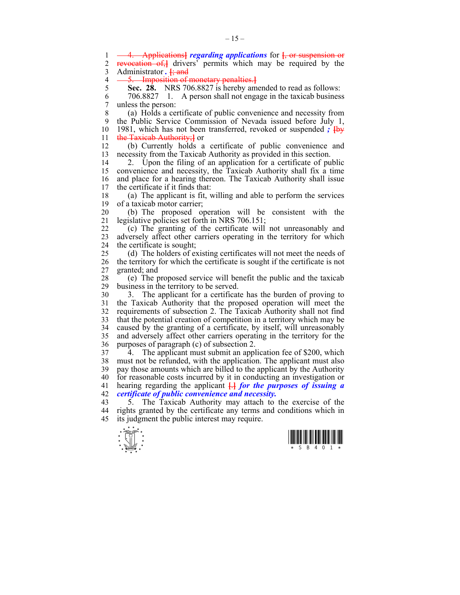$\frac{1}{x}$   $\frac{1}{s}$   $\frac{1}{s}$   $\frac{1}{s}$   $\frac{1}{s}$   $\frac{1}{s}$   $\frac{1}{s}$   $\frac{1}{s}$   $\frac{1}{s}$   $\frac{1}{s}$   $\frac{1}{s}$ 1 4. Applications**]** *regarding applications* for **[**, or suspension or 2 revocation of,**}** drivers<sup>7</sup> permits which may be required by the 3 Administrator *.* **[**; and 4 5. **Imposition of monetary penalties.**<br>5 **Sec. 28.** NRS 706.8827 is hereby am 5 **Sec. 28.** NRS 706.8827 is hereby amended to read as follows: 6 706.8827 1. A person shall not engage in the taxicab business 7 unless the person: 8 (a) Holds a certificate of public convenience and necessity from 9 the Public Service Commission of Nevada issued before July 1, 10 1981, which has not been transferred, revoked or suspended *;* **[**by 11 the Taxicab Authority; or 12 (b) Currently holds a certificate of public convenience and 13 necessity from the Taxicab Authority as provided in this section. 14 2. Upon the filing of an application for a certificate of public 15 convenience and necessity, the Taxicab Authority shall fix a time 16 and place for a hearing thereon. The Taxicab Authority shall issue 17 the certificate if it finds that: 18 (a) The applicant is fit, willing and able to perform the services 19 of a taxicab motor carrier; 20 (b) The proposed operation will be consistent with the 21 legislative policies set forth in NRS 706.151; 22 (c) The granting of the certificate will not unreasonably and 23 adversely affect other carriers operating in the territory for which 24 the certificate is sought; 25 (d) The holders of existing certificates will not meet the needs of 26 the territory for which the certificate is sought if the certificate is not 27 granted; and 28 (e) The proposed service will benefit the public and the taxicab 29 business in the territory to be served. 30 3. The applicant for a certificate has the burden of proving to 31 the Taxicab Authority that the proposed operation will meet the 32 requirements of subsection 2. The Taxicab Authority shall not find 33 that the potential creation of competition in a territory which may be 34 caused by the granting of a certificate, by itself, will unreasonably 35 and adversely affect other carriers operating in the territory for the 36 purposes of paragraph (c) of subsection 2. 37 4. The applicant must submit an application fee of \$200, which 38 must not be refunded, with the application. The applicant must also 39 pay those amounts which are billed to the applicant by the Authority 40 for reasonable costs incurred by it in conducting an investigation or 41 hearing regarding the applicant **[**.**]** *for the purposes of issuing a*  42 *certificate of public convenience and necessity.* 43 5. The Taxicab Authority may attach to the exercise of the 44 rights granted by the certificate any terms and conditions which in 45 its judgment the public interest may require.



 $-15-$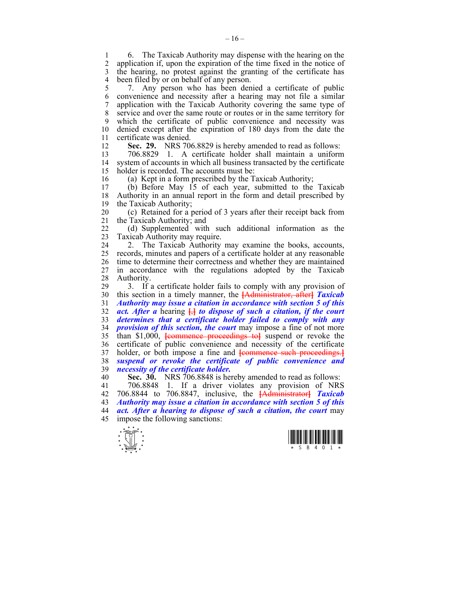1 6. The Taxicab Authority may dispense with the hearing on the 2 application if upon the expiration of the time fixed in the notice of 2 application if, upon the expiration of the time fixed in the notice of 3 the hearing, no protest against the granting of the certificate has 4 been filed by or on behalf of any person.

5 7. Any person who has been denied a certificate of public 6 convenience and necessity after a hearing may not file a similar 7 application with the Taxicab Authority covering the same type of 8 service and over the same route or routes or in the same territory for 9 which the certificate of public convenience and necessity was 10 denied except after the expiration of 180 days from the date the 11 certificate was denied.

12 **Sec. 29.** NRS 706.8829 is hereby amended to read as follows:

13 706.8829 1. A certificate holder shall maintain a uniform 14 system of accounts in which all business transacted by the certificate 15 holder is recorded. The accounts must be:

16 (a) Kept in a form prescribed by the Taxicab Authority;

 $(b)$  Before May 15 of each year, submitted to the Taxicab 18 Authority in an annual report in the form and detail prescribed by 19 the Taxicab Authority;

20 (c) Retained for a period of 3 years after their receipt back from 21 the Taxicab Authority; and

22 (d) Supplemented with such additional information as the 23 Taxicab Authority may require.

24 2. The Taxicab Authority may examine the books, accounts, 25 records, minutes and papers of a certificate holder at any reasonable 26 time to determine their correctness and whether they are maintained 27 in accordance with the regulations adopted by the Taxicab 28 Authority.

29 3. If a certificate holder fails to comply with any provision of 30 this section in a timely manner, the **[**Administrator, after**]** *Taxicab*  31 *Authority may issue a citation in accordance with section 5 of this*  32 *act. After a* hearing **[**,**]** *to dispose of such a citation, if the court*  33 *determines that a certificate holder failed to comply with any*  34 *provision of this section, the court* may impose a fine of not more 35 than \$1,000, **[**commence proceedings to**]** suspend or revoke the 36 certificate of public convenience and necessity of the certificate 37 holder, or both impose a fine and **[**commence such proceedings.**]** 38 *suspend or revoke the certificate of public convenience and*  39 *necessity of the certificate holder.*

40 **Sec. 30.** NRS 706.8848 is hereby amended to read as follows:

41 706.8848 1. If a driver violates any provision of NRS 42 706.8844 to 706.8847, inclusive, the **[**Administrator**]** *Taxicab*  43 *Authority may issue a citation in accordance with section 5 of this*  44 *act. After a hearing to dispose of such a citation, the court* may 45 impose the following sanctions:



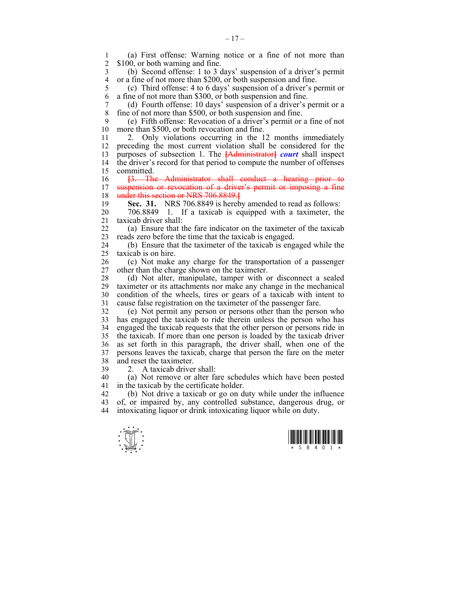1 (a) First offense: Warning notice or a fine of not more than \$100, or both warning and fine.

3 (b) Second offense: 1 to 3 days' suspension of a driver's permit 4 or a fine of not more than \$200, or both suspension and fine.<br>5 (c) Third offense: 4 to 6 days' suspension of a driver's p

5 (c) Third offense: 4 to 6 days' suspension of a driver's permit or 6 a fine of not more than \$300, or both suspension and fine.

7 (d) Fourth offense: 10 days' suspension of a driver's permit or a fine of not more than \$500, or both suspension and fine.

9 (e) Fifth offense: Revocation of a driver's permit or a fine of not more than \$500, or both revocation and fine.

11 2. Only violations occurring in the 12 months immediately 12 preceding the most current violation shall be considered for the 13 purposes of subsection 1. The **[**Administrator**]** *court* shall inspect 14 the driver's record for that period to compute the number of offenses 15 committed.

16 **[**3. The Administrator shall conduct a hearing prior to suspension or revocation of a driver's permit or imposing a fine 18 under this section or NRS 706.8849.**]**

19 **Sec. 31.** NRS 706.8849 is hereby amended to read as follows:

20 706.8849 1. If a taxicab is equipped with a taximeter, the 21 taxicab driver shall:

22 (a) Ensure that the fare indicator on the taximeter of the taxicab 23 reads zero before the time that the taxicab is engaged.

24 (b) Ensure that the taximeter of the taxicab is engaged while the 25 taxicab is on hire.

26 (c) Not make any charge for the transportation of a passenger 27 other than the charge shown on the taximeter.

28 (d) Not alter, manipulate, tamper with or disconnect a sealed taximeter or its attachments nor make any change in the mechanical 30 condition of the wheels, tires or gears of a taxicab with intent to 31 cause false registration on the taximeter of the passenger fare.

32 (e) Not permit any person or persons other than the person who 33 has engaged the taxicab to ride therein unless the person who has 34 engaged the taxicab requests that the other person or persons ride in 35 the taxicab. If more than one person is loaded by the taxicab driver 36 as set forth in this paragraph, the driver shall, when one of the 37 persons leaves the taxicab, charge that person the fare on the meter 38 and reset the taximeter.

39 2. A taxicab driver shall:

40 (a) Not remove or alter fare schedules which have been posted 41 in the taxicab by the certificate holder.

42 (b) Not drive a taxicab or go on duty while under the influence 43 of, or impaired by, any controlled substance, dangerous drug, or 44 intoxicating liquor or drink intoxicating liquor while on duty.



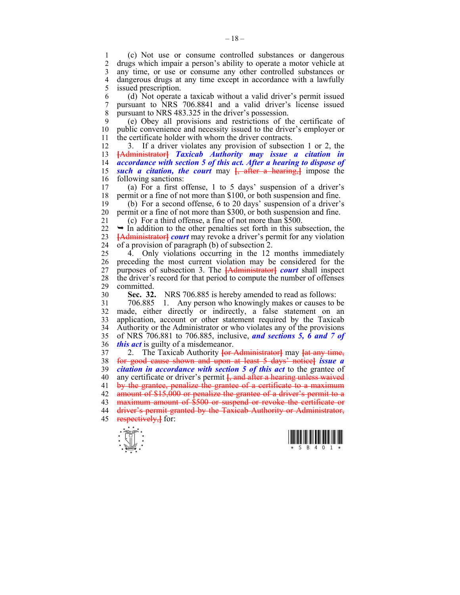1 (c) Not use or consume controlled substances or dangerous 2 drugs which impair a person's ability to operate a motor vehicle at 3 any time, or use or consume any other controlled substances or 4 dangerous drugs at any time except in accordance with a lawfully issued prescription. issued prescription.

6 (d) Not operate a taxicab without a valid driver's permit issued 7 pursuant to NRS 706.8841 and a valid driver's license issued 8 pursuant to NRS 483.325 in the driver's possession.

9 (e) Obey all provisions and restrictions of the certificate of 10 public convenience and necessity issued to the driver's employer or 11 the certificate holder with whom the driver contracts.

12 3. If a driver violates any provision of subsection 1 or 2, the 13 **[**Administrator**]** *Taxicab Authority may issue a citation in*  14 *accordance with section 5 of this act. After a hearing to dispose of*  15 *such a citation, the court* may **[**, after a hearing,**]** impose the 16 following sanctions:

17 (a) For a first offense, 1 to 5 days' suspension of a driver's 18 permit or a fine of not more than \$100, or both suspension and fine.

19 (b) For a second offense, 6 to 20 days' suspension of a driver's 20 permit or a fine of not more than \$300, or both suspension and fine.

21 (c) For a third offense, a fine of not more than \$500.

 $22 \rightarrow$  In addition to the other penalties set forth in this subsection, the 23 **[**Administrator**]** *court* may revoke a driver's permit for any violation 24 of a provision of paragraph (b) of subsection 2.

25 4. Only violations occurring in the 12 months immediately 26 preceding the most current violation may be considered for the 27 purposes of subsection 3. The **[**Administrator**]** *court* shall inspect 28 the driver's record for that period to compute the number of offenses 29 committed.

30 **Sec. 32.** NRS 706.885 is hereby amended to read as follows:

31 706.885 1. Any person who knowingly makes or causes to be 32 made, either directly or indirectly, a false statement on an 33 application, account or other statement required by the Taxicab 34 Authority or the Administrator or who violates any of the provisions 35 of NRS 706.881 to 706.885, inclusive, *and sections 5, 6 and 7 of*  36 *this act* is guilty of a misdemeanor.

37 2. The Taxicab Authority **[**or Administrator**]** may **[**at any time, 38 for good cause shown and upon at least 5 days' notice**]** *issue a*  39 *citation in accordance with section 5 of this act* to the grantee of 40 any certificate or driver's permit **[**, and after a hearing unless waived 41 by the grantee, penalize the grantee of a certificate to a maximum 42 amount of \$15,000 or penalize the grantee of a driver's permit to a 43 maximum amount of \$500 or suspend or revoke the certificate or 44 driver's permit granted by the Taxicab Authority or Administrator, 45 respectively,**]** for:



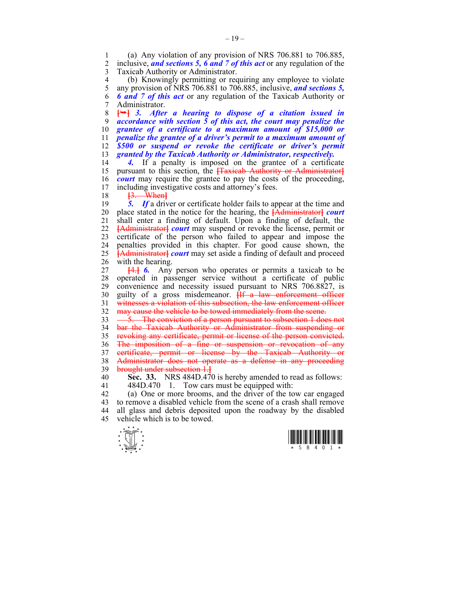1 (a) Any violation of any provision of NRS 706.881 to 706.885,<br>2 inclusive and sections 5, 6 and 7 of this act or any regulation of the 2 inclusive, *and sections 5, 6 and 7 of this act* or any regulation of the 3 Taxicab Authority or Administrator.

4 (b) Knowingly permitting or requiring any employee to violate<br>5 any provision of NRS 706.881 to 706.885, inclusive, and sections 5. 5 any provision of NRS 706.881 to 706.885, inclusive, *and sections 5,*  6 *6 and 7 of this act* or any regulation of the Taxicab Authority or 7 Administrator.

**[**¬**]** *3. After a hearing to dispose of a citation issued in accordance with section 5 of this act, the court may penalize the grantee of a certificate to a maximum amount of \$15,000 or penalize the grantee of a driver's permit to a maximum amount of \$500 or suspend or revoke the certificate or driver's permit granted by the Taxicab Authority or Administrator, respectively.* 

14 *4.* If a penalty is imposed on the grantee of a certificate 15 pursuant to this section, the **[**Taxicab Authority or Administrator**]** 16 *court* may require the grantee to pay the costs of the proceeding, 17 including investigative costs and attorney's fees.

18 **[**3. When**]**

19 *5. If* a driver or certificate holder fails to appear at the time and 20 place stated in the notice for the hearing, the **[**Administrator**]** *court*  21 shall enter a finding of default. Upon a finding of default, the 22 **[**Administrator**]** *court* may suspend or revoke the license, permit or 23 certificate of the person who failed to appear and impose the 24 penalties provided in this chapter. For good cause shown, the 25 **[**Administrator**]** *court* may set aside a finding of default and proceed 26 with the hearing.

27 **[**4.**]** *6.* Any person who operates or permits a taxicab to be 28 operated in passenger service without a certificate of public 29 convenience and necessity issued pursuant to NRS 706.8827, is 30 guilty of a gross misdemeanor. **[**If a law enforcement officer 31 witnesses a violation of this subsection, the law enforcement officer 32 may cause the vehicle to be towed immediately from the scene.

33 - 5. The conviction of a person pursuant to subsection 1 does not 34 bar the Taxicab Authority or Administrator from suspending or 35 revoking any certificate, permit or license of the person convicted. 36 The imposition of a fine or suspension or revocation of any 37 certificate, permit or license by the Taxicab Authority or 38 Administrator does not operate as a defense in any proceeding 39 brought under subsection 1.**]**

40 **Sec. 33.** NRS 484D.470 is hereby amended to read as follows: 41 484D.470 1. Tow cars must be equipped with:

42 (a) One or more brooms, and the driver of the tow car engaged 43 to remove a disabled vehicle from the scene of a crash shall remove 44 all glass and debris deposited upon the roadway by the disabled 45 vehicle which is to be towed.



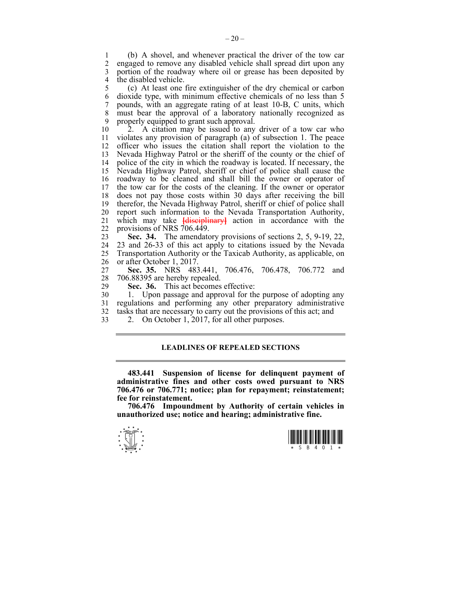1 (b) A shovel, and whenever practical the driver of the tow car 2 engaged to remove any disabled vehicle shall spread dirt upon any 3 portion of the roadway where oil or grease has been deposited by 4 the disabled vehicle.

5 (c) At least one fire extinguisher of the dry chemical or carbon 6 dioxide type, with minimum effective chemicals of no less than 5 7 pounds, with an aggregate rating of at least 10-B, C units, which 8 must bear the approval of a laboratory nationally recognized as 9 properly equipped to grant such approval.

10 2. A citation may be issued to any driver of a tow car who 11 violates any provision of paragraph (a) of subsection 1. The peace 12 officer who issues the citation shall report the violation to the 13 Nevada Highway Patrol or the sheriff of the county or the chief of 14 police of the city in which the roadway is located. If necessary, the 15 Nevada Highway Patrol, sheriff or chief of police shall cause the 16 roadway to be cleaned and shall bill the owner or operator of 17 the tow car for the costs of the cleaning. If the owner or operator 18 does not pay those costs within 30 days after receiving the bill 19 therefor, the Nevada Highway Patrol, sheriff or chief of police shall 20 report such information to the Nevada Transportation Authority, 21 which may take **[**disciplinary**]** action in accordance with the 22 provisions of NRS 706.449.

23 **Sec. 34.** The amendatory provisions of sections 2, 5, 9-19, 22, 24 23 and 26-33 of this act apply to citations issued by the Nevada 25 Transportation Authority or the Taxicab Authority, as applicable, on 26 or after October 1, 2017.

27 **Sec. 35.** NRS 483.441, 706.476, 706.478, 706.772 and 28 706.88395 are hereby repealed.<br>29 **Sec. 36.** This act becomes

**Sec. 36.** This act becomes effective:

30 1. Upon passage and approval for the purpose of adopting any 31 regulations and performing any other preparatory administrative 32 tasks that are necessary to carry out the provisions of this act; and

- 
- 33 2. On October 1, 2017, for all other purposes.

# **LEADLINES OF REPEALED SECTIONS**

 **483.441 Suspension of license for delinquent payment of administrative fines and other costs owed pursuant to NRS 706.476 or 706.771; notice; plan for repayment; reinstatement; fee for reinstatement.** 

 **706.476 Impoundment by Authority of certain vehicles in unauthorized use; notice and hearing; administrative fine.**